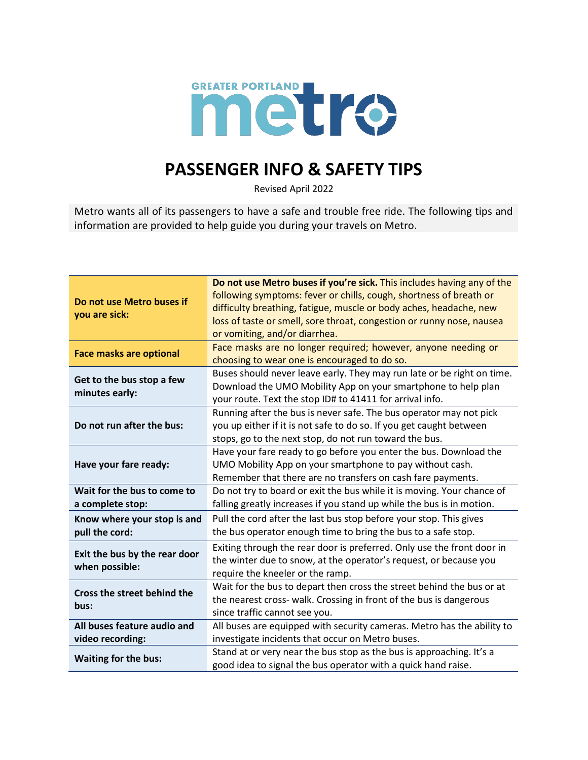

## **PASSENGER INFO & SAFETY TIPS**

Revised April 2022

Metro wants all of its passengers to have a safe and trouble free ride. The following tips and information are provided to help guide you during your travels on Metro.

| Do not use Metro buses if<br>you are sick:                                    | Do not use Metro buses if you're sick. This includes having any of the |
|-------------------------------------------------------------------------------|------------------------------------------------------------------------|
|                                                                               | following symptoms: fever or chills, cough, shortness of breath or     |
|                                                                               | difficulty breathing, fatigue, muscle or body aches, headache, new     |
|                                                                               | loss of taste or smell, sore throat, congestion or runny nose, nausea  |
|                                                                               | or vomiting, and/or diarrhea.                                          |
| <b>Face masks are optional</b><br>Get to the bus stop a few<br>minutes early: | Face masks are no longer required; however, anyone needing or          |
|                                                                               | choosing to wear one is encouraged to do so.                           |
|                                                                               | Buses should never leave early. They may run late or be right on time. |
|                                                                               | Download the UMO Mobility App on your smartphone to help plan          |
| Do not run after the bus:<br>Have your fare ready:                            | your route. Text the stop ID# to 41411 for arrival info.               |
|                                                                               | Running after the bus is never safe. The bus operator may not pick     |
|                                                                               | you up either if it is not safe to do so. If you get caught between    |
|                                                                               | stops, go to the next stop, do not run toward the bus.                 |
|                                                                               | Have your fare ready to go before you enter the bus. Download the      |
|                                                                               | UMO Mobility App on your smartphone to pay without cash.               |
|                                                                               | Remember that there are no transfers on cash fare payments.            |
| Wait for the bus to come to                                                   | Do not try to board or exit the bus while it is moving. Your chance of |
| a complete stop:                                                              | falling greatly increases if you stand up while the bus is in motion.  |
| Know where your stop is and<br>pull the cord:                                 | Pull the cord after the last bus stop before your stop. This gives     |
|                                                                               | the bus operator enough time to bring the bus to a safe stop.          |
| Exit the bus by the rear door<br>when possible:                               | Exiting through the rear door is preferred. Only use the front door in |
|                                                                               | the winter due to snow, at the operator's request, or because you      |
|                                                                               | require the kneeler or the ramp.                                       |
| Cross the street behind the<br>bus:                                           | Wait for the bus to depart then cross the street behind the bus or at  |
|                                                                               | the nearest cross- walk. Crossing in front of the bus is dangerous     |
|                                                                               | since traffic cannot see you.                                          |
| All buses feature audio and                                                   | All buses are equipped with security cameras. Metro has the ability to |
| video recording:                                                              | investigate incidents that occur on Metro buses.                       |
| <b>Waiting for the bus:</b>                                                   | Stand at or very near the bus stop as the bus is approaching. It's a   |
|                                                                               | good idea to signal the bus operator with a quick hand raise.          |